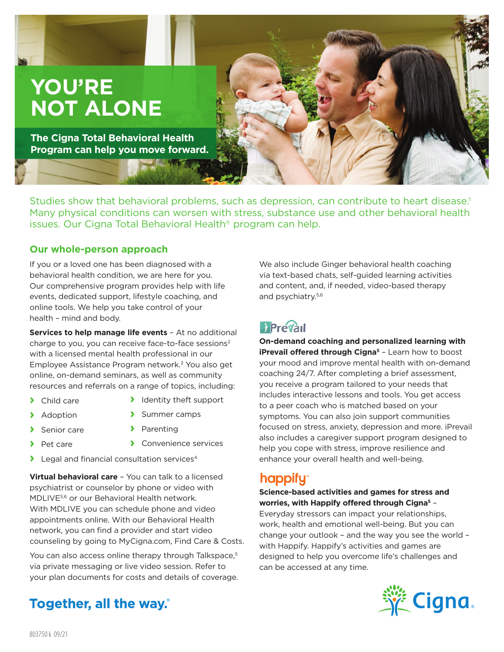# **YOU'RE NOT ALONE**

**The Cigna Total Behavioral Health Program can help you move forward.**

Studies show that behavioral problems, such as depression, can contribute to heart disease.<sup>1</sup> Many physical conditions can worsen with stress, substance use and other behavioral health issues. Our Cigna Total Behavioral Health® program can help.

#### **Our whole-person approach**

If you or a loved one has been diagnosed with a behavioral health condition, we are here for you. Our comprehensive program provides help with life events, dedicated support, lifestyle coaching, and online tools. We help you take control of your health – mind and body.

**Services to help manage life events - At no additional** charge to you, you can receive face-to-face sessions<sup>2</sup> with a licensed mental health professional in our Employee Assistance Program network.3 You also get online, on-demand seminars, as well as community resources and referrals on a range of topics, including:

- **›** Child care
- **›** Identity theft support **›** Summer camps
- **›** Adoption

**›** Senior care

- **›** Parenting
- **›** Pet care
- **›** Convenience services
- **›** Legal and financial consultation services4

**Virtual behavioral care** – You can talk to a licensed psychiatrist or counselor by phone or video with MDLIVE5,6 or our Behavioral Health network. With MDLIVE you can schedule phone and video appointments online. With our Behavioral Health network, you can find a provider and start video counseling by going to MyCigna.com, Find Care & Costs.

You can also access online therapy through Talkspace,<sup>5</sup> via private messaging or live video session. Refer to your plan documents for costs and details of coverage.

#### We also include Ginger behavioral health coaching via text-based chats, self-guided learning activities and content, and, if needed, video-based therapy and psychiatry.5,6

**On-demand coaching and personalized learning with iPrevail offered through Cigna<sup>5</sup> - Learn how to boost** your mood and improve mental health with on-demand coaching 24/7. After completing a brief assessment, you receive a program tailored to your needs that includes interactive lessons and tools. You get access to a peer coach who is matched based on your symptoms. You can also join support communities focused on stress, anxiety, depression and more. iPrevail also includes a caregiver support program designed to help you cope with stress, improve resilience and enhance your overall health and well-being.

## happify"

#### **Science-based activities and games for stress and worries, with Happify offered through Cigna5** –

Everyday stressors can impact your relationships, work, health and emotional well-being. But you can change your outlook – and the way you see the world – with Happify. Happify's activities and games are designed to help you overcome life's challenges and can be accessed at any time.



Together, all the way.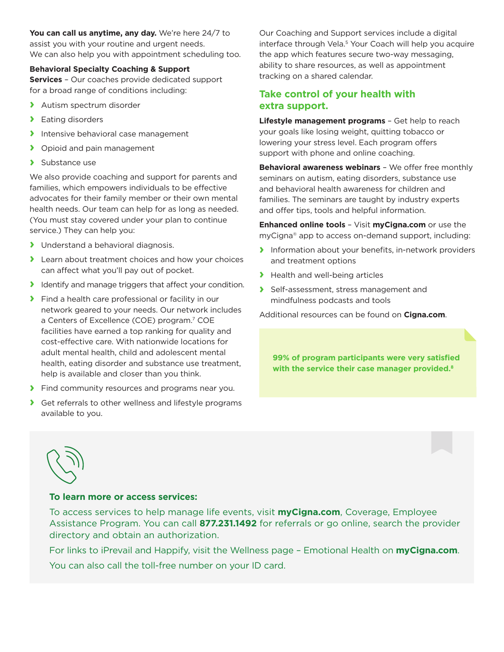**You can call us anytime, any day.** We're here 24/7 to assist you with your routine and urgent needs. We can also help you with appointment scheduling too.

#### **Behavioral Specialty Coaching & Support**

**Services** – Our coaches provide dedicated support for a broad range of conditions including:

- **›** Autism spectrum disorder
- **›** Eating disorders
- **›** Intensive behavioral case management
- **›** Opioid and pain management
- **›** Substance use

We also provide coaching and support for parents and families, which empowers individuals to be effective advocates for their family member or their own mental health needs. Our team can help for as long as needed. (You must stay covered under your plan to continue service.) They can help you:

- **›** Understand a behavioral diagnosis.
- **›** Learn about treatment choices and how your choices can affect what you'll pay out of pocket.
- **›** Identify and manage triggers that affect your condition.
- **›** Find a health care professional or facility in our network geared to your needs. Our network includes a Centers of Excellence (COE) program.<sup>7</sup> COE facilities have earned a top ranking for quality and cost-effective care. With nationwide locations for adult mental health, child and adolescent mental health, eating disorder and substance use treatment, help is available and closer than you think.
- **›** Find community resources and programs near you.
- **›** Get referrals to other wellness and lifestyle programs available to you.

Our Coaching and Support services include a digital interface through Vela.<sup>5</sup> Your Coach will help you acquire the app which features secure two-way messaging, ability to share resources, as well as appointment tracking on a shared calendar.

### **Take control of your health with extra support.**

**Lifestyle management programs** – Get help to reach your goals like losing weight, quitting tobacco or lowering your stress level. Each program offers support with phone and online coaching.

**Behavioral awareness webinars** – We offer free monthly seminars on autism, eating disorders, substance use and behavioral health awareness for children and families. The seminars are taught by industry experts and offer tips, tools and helpful information.

**Enhanced online tools** – Visit **myCigna.com** or use the myCigna® app to access on-demand support, including:

- **›** Information about your benefits, in-network providers and treatment options
- **›** Health and well-being articles
- **›** Self-assessment, stress management and mindfulness podcasts and tools

Additional resources can be found on **Cigna.com**.

**99% of program participants were very satisfied with the service their case manager provided.8**



#### **To learn more or access services:**

To access services to help manage life events, visit **myCigna.com**, Coverage, Employee Assistance Program. You can call **877.231.1492** for referrals or go online, search the provider directory and obtain an authorization.

For links to iPrevail and Happify, visit the Wellness page – Emotional Health on **myCigna.com**.

You can also call the toll-free number on your ID card.